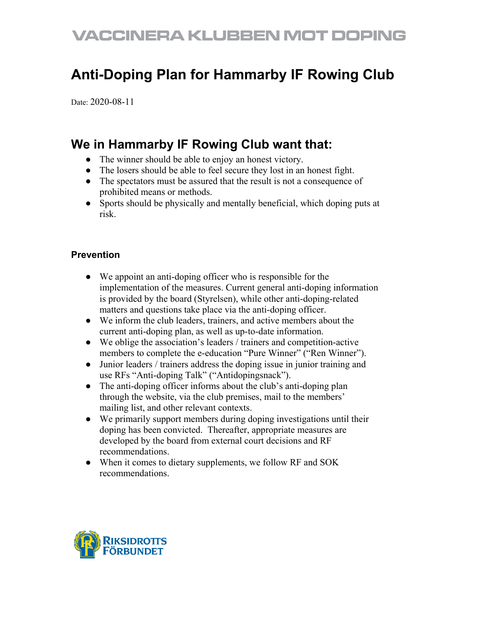## **VACCINERA KLUBBEN MOT DOPING**

### **Anti-Doping Plan for Hammarby IF Rowing Club**

Date: 2020-08-11

### **We in Hammarby IF Rowing Club want that:**

- The winner should be able to enjoy an honest victory.
- The losers should be able to feel secure they lost in an honest fight.
- The spectators must be assured that the result is not a consequence of prohibited means or methods.
- Sports should be physically and mentally beneficial, which doping puts at risk.

### **Prevention**

- We appoint an anti-doping officer who is responsible for the implementation of the measures. Current general anti-doping information is provided by the board (Styrelsen), while other anti-doping-related matters and questions take place via the anti-doping officer.
- We inform the club leaders, trainers, and active members about the current anti-doping plan, as well as up-to-date information.
- We oblige the association's leaders / trainers and competition-active members to complete the e-education "Pure Winner" ("Ren Winner").
- Junior leaders / trainers address the doping issue in junior training and use RFs "Anti-doping Talk" ("Antidopingsnack").
- The anti-doping officer informs about the club's anti-doping plan through the website, via the club premises, mail to the members' mailing list, and other relevant contexts.
- We primarily support members during doping investigations until their doping has been convicted. Thereafter, appropriate measures are developed by the board from external court decisions and RF recommendations.
- When it comes to dietary supplements, we follow RF and SOK recommendations.